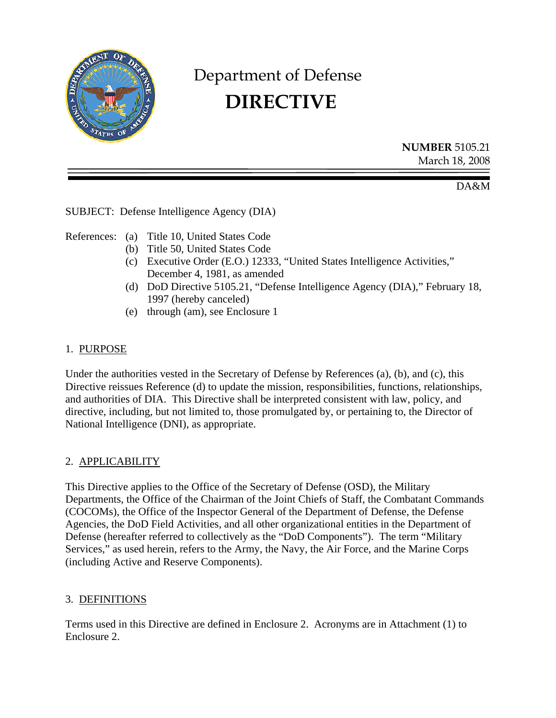

# Department of Defense  **DIRECTIVE**

**NUMBER** 5105.21 March 18, 2008

DA&M

SUBJECT: Defense Intelligence Agency (DIA)

References: (a) Title 10, United States Code

- (b) Title 50, United States Code
- (c) Executive Order (E.O.) 12333, "United States Intelligence Activities," December 4, 1981, as amended
- (d) DoD Directive 5105.21, "Defense Intelligence Agency (DIA)," February 18, 1997 (hereby canceled)
- (e) through (am), see Enclosure 1

# 1. PURPOSE

Under the authorities vested in the Secretary of Defense by References (a), (b), and (c), this Directive reissues Reference (d) to update the mission, responsibilities, functions, relationships, and authorities of DIA. This Directive shall be interpreted consistent with law, policy, and directive, including, but not limited to, those promulgated by, or pertaining to, the Director of National Intelligence (DNI), as appropriate.

# 2. APPLICABILITY

This Directive applies to the Office of the Secretary of Defense (OSD), the Military Departments, the Office of the Chairman of the Joint Chiefs of Staff, the Combatant Commands (COCOMs), the Office of the Inspector General of the Department of Defense, the Defense Agencies, the DoD Field Activities, and all other organizational entities in the Department of Defense (hereafter referred to collectively as the "DoD Components"). The term "Military Services," as used herein, refers to the Army, the Navy, the Air Force, and the Marine Corps (including Active and Reserve Components).

# 3. DEFINITIONS

Terms used in this Directive are defined in Enclosure 2. Acronyms are in Attachment (1) to Enclosure 2.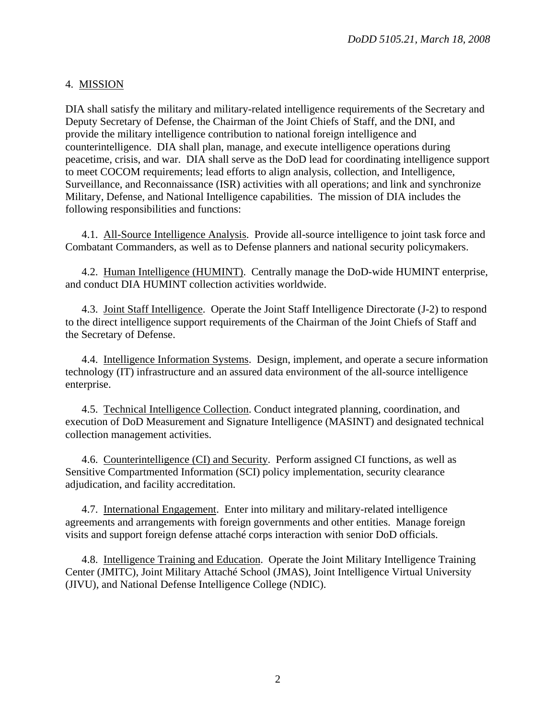# 4. MISSION

DIA shall satisfy the military and military-related intelligence requirements of the Secretary and Deputy Secretary of Defense, the Chairman of the Joint Chiefs of Staff, and the DNI, and provide the military intelligence contribution to national foreign intelligence and counterintelligence. DIA shall plan, manage, and execute intelligence operations during peacetime, crisis, and war. DIA shall serve as the DoD lead for coordinating intelligence support to meet COCOM requirements; lead efforts to align analysis, collection, and Intelligence, Surveillance, and Reconnaissance (ISR) activities with all operations; and link and synchronize Military, Defense, and National Intelligence capabilities. The mission of DIA includes the following responsibilities and functions:

4.1. All-Source Intelligence Analysis. Provide all-source intelligence to joint task force and Combatant Commanders, as well as to Defense planners and national security policymakers.

4.2. Human Intelligence (HUMINT). Centrally manage the DoD-wide HUMINT enterprise, and conduct DIA HUMINT collection activities worldwide.

4.3. Joint Staff Intelligence. Operate the Joint Staff Intelligence Directorate (J-2) to respond to the direct intelligence support requirements of the Chairman of the Joint Chiefs of Staff and the Secretary of Defense.

4.4. Intelligence Information Systems. Design, implement, and operate a secure information technology (IT) infrastructure and an assured data environment of the all-source intelligence enterprise.

4.5. Technical Intelligence Collection. Conduct integrated planning, coordination, and execution of DoD Measurement and Signature Intelligence (MASINT) and designated technical collection management activities.

4.6. Counterintelligence (CI) and Security. Perform assigned CI functions, as well as Sensitive Compartmented Information (SCI) policy implementation, security clearance adjudication, and facility accreditation.

4.7. International Engagement. Enter into military and military-related intelligence agreements and arrangements with foreign governments and other entities. Manage foreign visits and support foreign defense attaché corps interaction with senior DoD officials.

4.8. Intelligence Training and Education. Operate the Joint Military Intelligence Training Center (JMITC), Joint Military Attaché School (JMAS), Joint Intelligence Virtual University (JIVU), and National Defense Intelligence College (NDIC).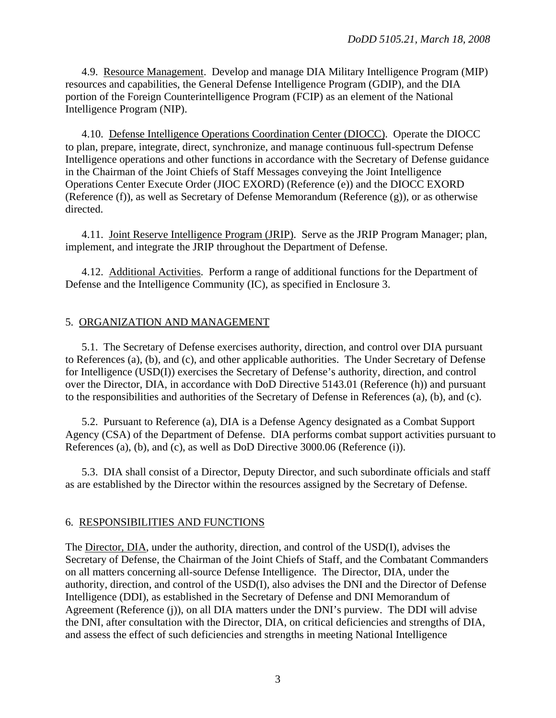4.9. Resource Management. Develop and manage DIA Military Intelligence Program (MIP) resources and capabilities, the General Defense Intelligence Program (GDIP), and the DIA portion of the Foreign Counterintelligence Program (FCIP) as an element of the National Intelligence Program (NIP).

4.10. Defense Intelligence Operations Coordination Center (DIOCC). Operate the DIOCC to plan, prepare, integrate, direct, synchronize, and manage continuous full-spectrum Defense Intelligence operations and other functions in accordance with the Secretary of Defense guidance in the Chairman of the Joint Chiefs of Staff Messages conveying the Joint Intelligence Operations Center Execute Order (JIOC EXORD) (Reference (e)) and the DIOCC EXORD (Reference (f)), as well as Secretary of Defense Memorandum (Reference (g)), or as otherwise directed.

4.11. Joint Reserve Intelligence Program (JRIP). Serve as the JRIP Program Manager; plan, implement, and integrate the JRIP throughout the Department of Defense.

4.12. Additional Activities. Perform a range of additional functions for the Department of Defense and the Intelligence Community (IC), as specified in Enclosure 3.

#### 5. ORGANIZATION AND MANAGEMENT

 5.1. The Secretary of Defense exercises authority, direction, and control over DIA pursuant to References (a), (b), and (c), and other applicable authorities. The Under Secretary of Defense for Intelligence (USD(I)) exercises the Secretary of Defense's authority, direction, and control over the Director, DIA, in accordance with DoD Directive 5143.01 (Reference (h)) and pursuant to the responsibilities and authorities of the Secretary of Defense in References (a), (b), and (c).

 5.2. Pursuant to Reference (a), DIA is a Defense Agency designated as a Combat Support Agency (CSA) of the Department of Defense. DIA performs combat support activities pursuant to References (a), (b), and (c), as well as DoD Directive 3000.06 (Reference (i)).

 5.3. DIA shall consist of a Director, Deputy Director, and such subordinate officials and staff as are established by the Director within the resources assigned by the Secretary of Defense.

#### 6. RESPONSIBILITIES AND FUNCTIONS

The Director, DIA, under the authority, direction, and control of the USD(I), advises the Secretary of Defense, the Chairman of the Joint Chiefs of Staff, and the Combatant Commanders on all matters concerning all-source Defense Intelligence. The Director, DIA, under the authority, direction, and control of the USD(I), also advises the DNI and the Director of Defense Intelligence (DDI), as established in the Secretary of Defense and DNI Memorandum of Agreement (Reference (j)), on all DIA matters under the DNI's purview. The DDI will advise the DNI, after consultation with the Director, DIA, on critical deficiencies and strengths of DIA, and assess the effect of such deficiencies and strengths in meeting National Intelligence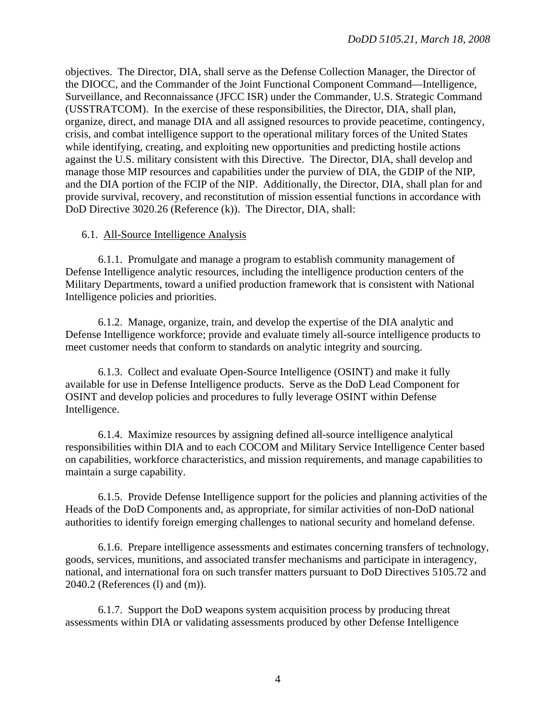objectives. The Director, DIA, shall serve as the Defense Collection Manager, the Director of the DIOCC, and the Commander of the Joint Functional Component Command—Intelligence, Surveillance, and Reconnaissance (JFCC ISR) under the Commander, U.S. Strategic Command (USSTRATCOM). In the exercise of these responsibilities, the Director, DIA, shall plan, organize, direct, and manage DIA and all assigned resources to provide peacetime, contingency, crisis, and combat intelligence support to the operational military forces of the United States while identifying, creating, and exploiting new opportunities and predicting hostile actions against the U.S. military consistent with this Directive. The Director, DIA, shall develop and manage those MIP resources and capabilities under the purview of DIA, the GDIP of the NIP, and the DIA portion of the FCIP of the NIP. Additionally, the Director, DIA, shall plan for and provide survival, recovery, and reconstitution of mission essential functions in accordance with DoD Directive 3020.26 (Reference (k)). The Director, DIA, shall:

## 6.1. All-Source Intelligence Analysis

 6.1.1. Promulgate and manage a program to establish community management of Defense Intelligence analytic resources, including the intelligence production centers of the Military Departments, toward a unified production framework that is consistent with National Intelligence policies and priorities.

6.1.2. Manage, organize, train, and develop the expertise of the DIA analytic and Defense Intelligence workforce; provide and evaluate timely all-source intelligence products to meet customer needs that conform to standards on analytic integrity and sourcing.

6.1.3. Collect and evaluate Open-Source Intelligence (OSINT) and make it fully available for use in Defense Intelligence products. Serve as the DoD Lead Component for OSINT and develop policies and procedures to fully leverage OSINT within Defense Intelligence.

6.1.4. Maximize resources by assigning defined all-source intelligence analytical responsibilities within DIA and to each COCOM and Military Service Intelligence Center based on capabilities, workforce characteristics, and mission requirements, and manage capabilities to maintain a surge capability.

6.1.5. Provide Defense Intelligence support for the policies and planning activities of the Heads of the DoD Components and, as appropriate, for similar activities of non-DoD national authorities to identify foreign emerging challenges to national security and homeland defense.

6.1.6. Prepare intelligence assessments and estimates concerning transfers of technology, goods, services, munitions, and associated transfer mechanisms and participate in interagency, national, and international fora on such transfer matters pursuant to DoD Directives 5105.72 and 2040.2 (References (l) and (m)).

6.1.7. Support the DoD weapons system acquisition process by producing threat assessments within DIA or validating assessments produced by other Defense Intelligence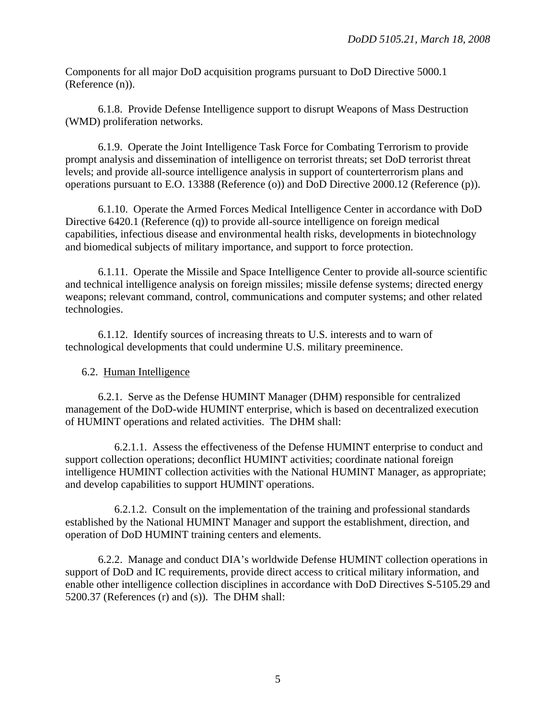Components for all major DoD acquisition programs pursuant to DoD Directive 5000.1 (Reference (n)).

6.1.8. Provide Defense Intelligence support to disrupt Weapons of Mass Destruction (WMD) proliferation networks.

6.1.9. Operate the Joint Intelligence Task Force for Combating Terrorism to provide prompt analysis and dissemination of intelligence on terrorist threats; set DoD terrorist threat levels; and provide all-source intelligence analysis in support of counterterrorism plans and operations pursuant to E.O. 13388 (Reference (o)) and DoD Directive 2000.12 (Reference (p)).

6.1.10. Operate the Armed Forces Medical Intelligence Center in accordance with DoD Directive 6420.1 (Reference (q)) to provide all-source intelligence on foreign medical capabilities, infectious disease and environmental health risks, developments in biotechnology and biomedical subjects of military importance, and support to force protection.

6.1.11. Operate the Missile and Space Intelligence Center to provide all-source scientific and technical intelligence analysis on foreign missiles; missile defense systems; directed energy weapons; relevant command, control, communications and computer systems; and other related technologies.

6.1.12. Identify sources of increasing threats to U.S. interests and to warn of technological developments that could undermine U.S. military preeminence.

# 6.2. Human Intelligence

 6.2.1. Serve as the Defense HUMINT Manager (DHM) responsible for centralized management of the DoD-wide HUMINT enterprise, which is based on decentralized execution of HUMINT operations and related activities. The DHM shall:

6.2.1.1. Assess the effectiveness of the Defense HUMINT enterprise to conduct and support collection operations; deconflict HUMINT activities; coordinate national foreign intelligence HUMINT collection activities with the National HUMINT Manager, as appropriate; and develop capabilities to support HUMINT operations.

6.2.1.2. Consult on the implementation of the training and professional standards established by the National HUMINT Manager and support the establishment, direction, and operation of DoD HUMINT training centers and elements.

6.2.2. Manage and conduct DIA's worldwide Defense HUMINT collection operations in support of DoD and IC requirements, provide direct access to critical military information, and enable other intelligence collection disciplines in accordance with DoD Directives S-5105.29 and 5200.37 (References (r) and (s)). The DHM shall: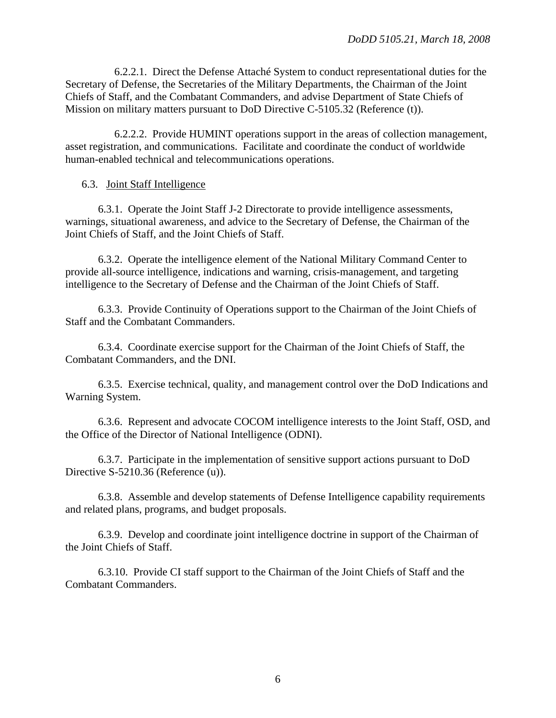6.2.2.1. Direct the Defense Attaché System to conduct representational duties for the Secretary of Defense, the Secretaries of the Military Departments, the Chairman of the Joint Chiefs of Staff, and the Combatant Commanders, and advise Department of State Chiefs of Mission on military matters pursuant to DoD Directive C-5105.32 (Reference (t)).

6.2.2.2. Provide HUMINT operations support in the areas of collection management, asset registration, and communications. Facilitate and coordinate the conduct of worldwide human-enabled technical and telecommunications operations.

#### 6.3. Joint Staff Intelligence

6.3.1. Operate the Joint Staff J-2 Directorate to provide intelligence assessments, warnings, situational awareness, and advice to the Secretary of Defense, the Chairman of the Joint Chiefs of Staff, and the Joint Chiefs of Staff.

6.3.2. Operate the intelligence element of the National Military Command Center to provide all-source intelligence, indications and warning, crisis-management, and targeting intelligence to the Secretary of Defense and the Chairman of the Joint Chiefs of Staff.

6.3.3. Provide Continuity of Operations support to the Chairman of the Joint Chiefs of Staff and the Combatant Commanders.

6.3.4. Coordinate exercise support for the Chairman of the Joint Chiefs of Staff, the Combatant Commanders, and the DNI.

6.3.5. Exercise technical, quality, and management control over the DoD Indications and Warning System.

 6.3.6. Represent and advocate COCOM intelligence interests to the Joint Staff, OSD, and the Office of the Director of National Intelligence (ODNI).

6.3.7. Participate in the implementation of sensitive support actions pursuant to DoD Directive S-5210.36 (Reference (u)).

6.3.8. Assemble and develop statements of Defense Intelligence capability requirements and related plans, programs, and budget proposals.

 6.3.9. Develop and coordinate joint intelligence doctrine in support of the Chairman of the Joint Chiefs of Staff.

 6.3.10. Provide CI staff support to the Chairman of the Joint Chiefs of Staff and the Combatant Commanders.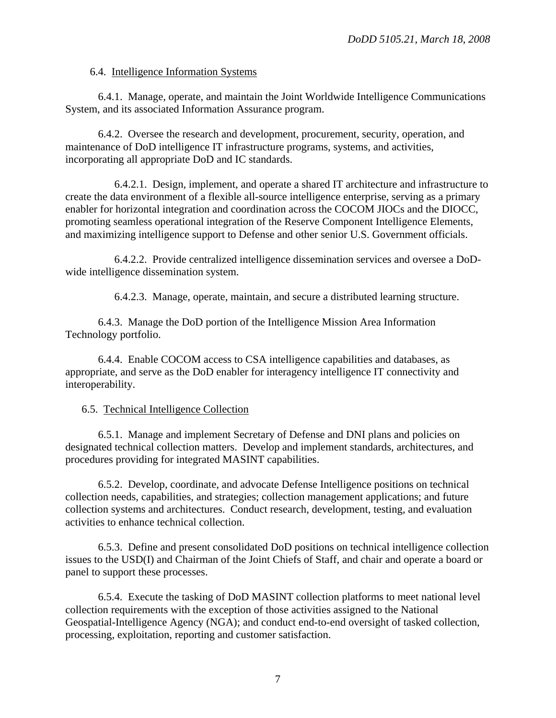## 6.4. Intelligence Information Systems

6.4.1. Manage, operate, and maintain the Joint Worldwide Intelligence Communications System, and its associated Information Assurance program.

6.4.2. Oversee the research and development, procurement, security, operation, and maintenance of DoD intelligence IT infrastructure programs, systems, and activities, incorporating all appropriate DoD and IC standards.

6.4.2.1. Design, implement, and operate a shared IT architecture and infrastructure to create the data environment of a flexible all-source intelligence enterprise, serving as a primary enabler for horizontal integration and coordination across the COCOM JIOCs and the DIOCC, promoting seamless operational integration of the Reserve Component Intelligence Elements, and maximizing intelligence support to Defense and other senior U.S. Government officials.

 6.4.2.2. Provide centralized intelligence dissemination services and oversee a DoDwide intelligence dissemination system.

6.4.2.3. Manage, operate, maintain, and secure a distributed learning structure.

6.4.3. Manage the DoD portion of the Intelligence Mission Area Information Technology portfolio.

6.4.4. Enable COCOM access to CSA intelligence capabilities and databases, as appropriate, and serve as the DoD enabler for interagency intelligence IT connectivity and interoperability.

## 6.5. Technical Intelligence Collection

6.5.1. Manage and implement Secretary of Defense and DNI plans and policies on designated technical collection matters. Develop and implement standards, architectures, and procedures providing for integrated MASINT capabilities.

6.5.2. Develop, coordinate, and advocate Defense Intelligence positions on technical collection needs, capabilities, and strategies; collection management applications; and future collection systems and architectures. Conduct research, development, testing, and evaluation activities to enhance technical collection.

6.5.3. Define and present consolidated DoD positions on technical intelligence collection issues to the USD(I) and Chairman of the Joint Chiefs of Staff, and chair and operate a board or panel to support these processes.

6.5.4. Execute the tasking of DoD MASINT collection platforms to meet national level collection requirements with the exception of those activities assigned to the National Geospatial-Intelligence Agency (NGA); and conduct end-to-end oversight of tasked collection, processing, exploitation, reporting and customer satisfaction.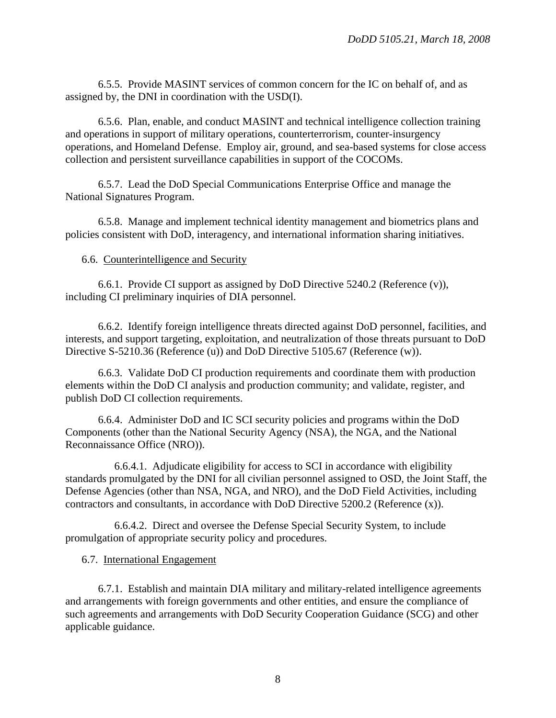6.5.5. Provide MASINT services of common concern for the IC on behalf of, and as assigned by, the DNI in coordination with the USD(I).

6.5.6. Plan, enable, and conduct MASINT and technical intelligence collection training and operations in support of military operations, counterterrorism, counter-insurgency operations, and Homeland Defense. Employ air, ground, and sea-based systems for close access collection and persistent surveillance capabilities in support of the COCOMs.

6.5.7. Lead the DoD Special Communications Enterprise Office and manage the National Signatures Program.

6.5.8. Manage and implement technical identity management and biometrics plans and policies consistent with DoD, interagency, and international information sharing initiatives.

6.6. Counterintelligence and Security

6.6.1. Provide CI support as assigned by DoD Directive 5240.2 (Reference (v)), including CI preliminary inquiries of DIA personnel.

6.6.2. [Identify foreign intelligence threats directed against DoD personnel, facilities, and](http://snow.diac.dia.ic.gov/cip/getCountryFita.do)  [interests, a](http://snow.diac.dia.ic.gov/cip/getCountryFita.do)nd support [targeting, exploitation, and neutralization](http://www.dia.ic.gov/ci/castles.htm) of those threats pursuant to DoD Directive S-5210.36 (Reference (u)) and DoD Directive 5105.67 (Reference (w)).

6.6.3. Validate DoD CI production requirements and coordinate them with production elements within the DoD CI analysis and production community; and validate, register, and publish DoD CI collection requirements.

6.6.4. Administer DoD and IC SCI security policies and programs within the DoD Components (other than the National Security Agency (NSA), the NGA, and the National Reconnaissance Office (NRO)).

6.6.4.1. Adjudicate eligibility for access to SCI in accordance with eligibility standards promulgated by the DNI for all civilian personnel assigned to OSD, the Joint Staff, the Defense Agencies (other than NSA, NGA, and NRO), and the DoD Field Activities, including contractors and consultants, in accordance with DoD Directive 5200.2 (Reference (x)).

6.6.4.2. Direct and oversee the Defense Special Security System, to include promulgation of appropriate security policy and procedures.

# 6.7. International Engagement

6.7.1. Establish and maintain DIA military and military-related intelligence agreements and arrangements with foreign governments and other entities, and ensure the compliance of such agreements and arrangements with DoD Security Cooperation Guidance (SCG) and other applicable guidance.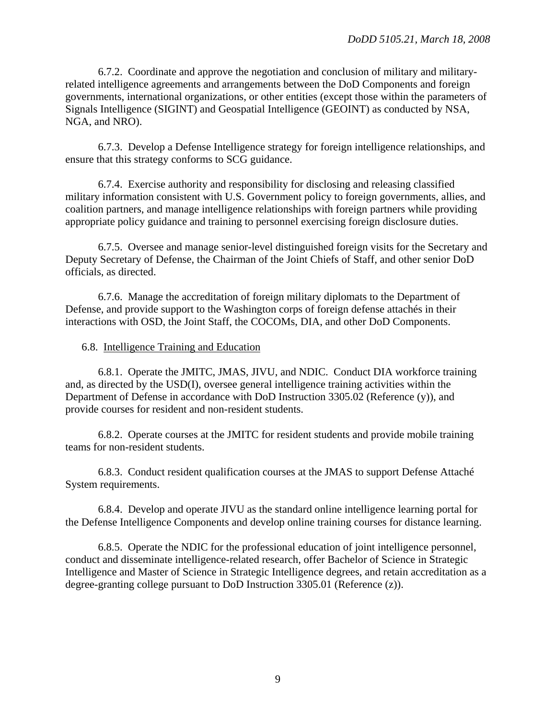6.7.2. Coordinate and approve the negotiation and conclusion of military and militaryrelated intelligence agreements and arrangements between the DoD Components and foreign governments, international organizations, or other entities (except those within the parameters of Signals Intelligence (SIGINT) and Geospatial Intelligence (GEOINT) as conducted by NSA, NGA, and NRO).

6.7.3. Develop a Defense Intelligence strategy for foreign intelligence relationships, and ensure that this strategy conforms to SCG guidance.

6.7.4. Exercise authority and responsibility for disclosing and releasing classified military information consistent with U.S. Government policy to foreign governments, allies, and coalition partners, and manage intelligence relationships with foreign partners while providing appropriate policy guidance and training to personnel exercising foreign disclosure duties.

6.7.5. Oversee and manage senior-level distinguished foreign visits for the Secretary and Deputy Secretary of Defense, the Chairman of the Joint Chiefs of Staff, and other senior DoD officials, as directed.

6.7.6. Manage the accreditation of foreign military diplomats to the Department of Defense, and provide support to the Washington corps of foreign defense attachés in their interactions with OSD, the Joint Staff, the COCOMs, DIA, and other DoD Components.

#### 6.8. Intelligence Training and Education

6.8.1. Operate the JMITC, JMAS, JIVU, and NDIC. Conduct DIA workforce training and, as directed by the USD(I), oversee general intelligence training activities within the Department of Defense in accordance with DoD Instruction 3305.02 (Reference (y)), and provide courses for resident and non-resident students.

6.8.2. Operate courses at the JMITC for resident students and provide mobile training teams for non-resident students.

6.8.3. Conduct resident qualification courses at the JMAS to support Defense Attaché System requirements.

6.8.4. Develop and operate JIVU as the standard online intelligence learning portal for the Defense Intelligence Components and develop online training courses for distance learning.

6.8.5. Operate the NDIC for the professional education of joint intelligence personnel, conduct and disseminate intelligence-related research, offer Bachelor of Science in Strategic Intelligence and Master of Science in Strategic Intelligence degrees, and retain accreditation as a degree-granting college pursuant to DoD Instruction 3305.01 (Reference (z)).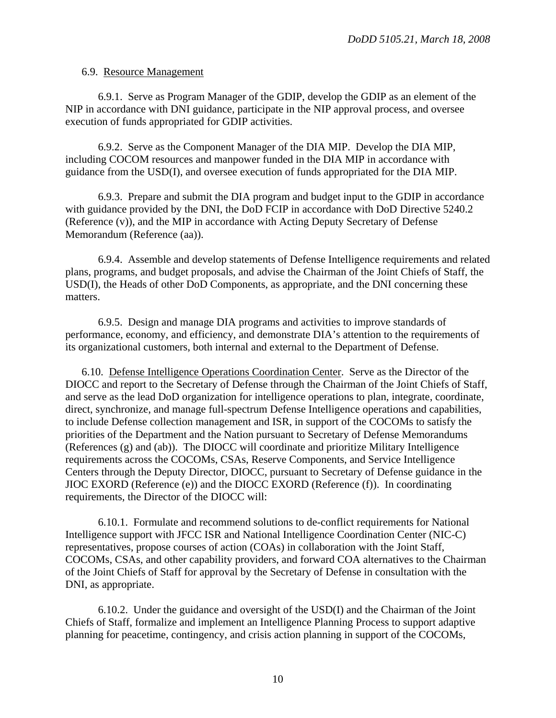#### 6.9. Resource Management

6.9.1. Serve as Program Manager of the GDIP, develop the GDIP as an element of the NIP in accordance with DNI guidance, participate in the NIP approval process, and oversee execution of funds appropriated for GDIP activities.

6.9.2. Serve as the Component Manager of the DIA MIP. Develop the DIA MIP, including COCOM resources and manpower funded in the DIA MIP in accordance with guidance from the USD(I), and oversee execution of funds appropriated for the DIA MIP.

6.9.3. Prepare and submit the DIA program and budget input to the GDIP in accordance with guidance provided by the DNI, the DoD FCIP in accordance with DoD Directive 5240.2 (Reference (v)), and the MIP in accordance with Acting Deputy Secretary of Defense Memorandum (Reference (aa)).

6.9.4. Assemble and develop statements of Defense Intelligence requirements and related plans, programs, and budget proposals, and advise the Chairman of the Joint Chiefs of Staff, the USD(I), the Heads of other DoD Components, as appropriate, and the DNI concerning these matters.

6.9.5. Design and manage DIA programs and activities to improve standards of performance, economy, and efficiency, and demonstrate DIA's attention to the requirements of its organizational customers, both internal and external to the Department of Defense.

 6.10. Defense Intelligence Operations Coordination Center. Serve as the Director of the DIOCC and report to the Secretary of Defense through the Chairman of the Joint Chiefs of Staff, and serve as the lead DoD organization for intelligence operations to plan, integrate, coordinate, direct, synchronize, and manage full-spectrum Defense Intelligence operations and capabilities, to include Defense collection management and ISR, in support of the COCOMs to satisfy the priorities of the Department and the Nation pursuant to Secretary of Defense Memorandums (References (g) and (ab)). The DIOCC will coordinate and prioritize Military Intelligence requirements across the COCOMs, CSAs, Reserve Components, and Service Intelligence Centers through the Deputy Director, DIOCC, pursuant to Secretary of Defense guidance in the JIOC EXORD (Reference (e)) and the DIOCC EXORD (Reference (f)). In coordinating requirements, the Director of the DIOCC will:

6.10.1. Formulate and recommend solutions to de-conflict requirements for National Intelligence support with JFCC ISR and National Intelligence Coordination Center (NIC-C) representatives, propose courses of action (COAs) in collaboration with the Joint Staff, COCOMs, CSAs, and other capability providers, and forward COA alternatives to the Chairman of the Joint Chiefs of Staff for approval by the Secretary of Defense in consultation with the DNI, as appropriate.

6.10.2. Under the guidance and oversight of the USD(I) and the Chairman of the Joint Chiefs of Staff, formalize and implement an Intelligence Planning Process to support adaptive planning for peacetime, contingency, and crisis action planning in support of the COCOMs,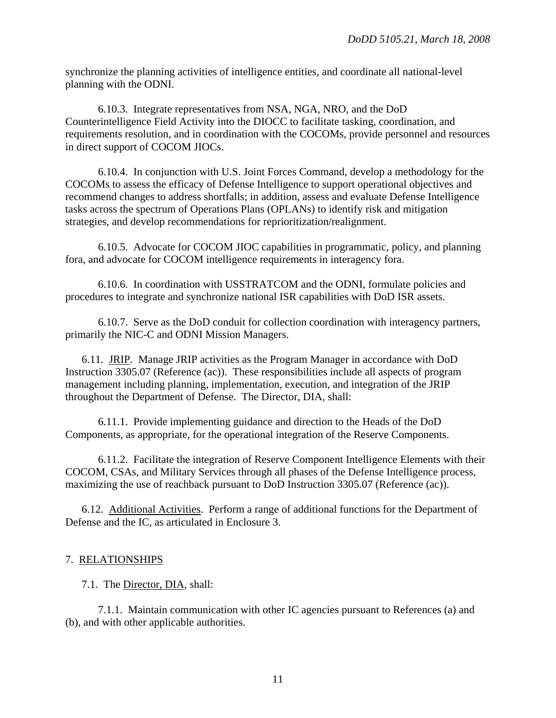synchronize the planning activities of intelligence entities, and coordinate all national-level planning with the ODNI.

6.10.3. Integrate representatives from NSA, NGA, NRO, and the DoD Counterintelligence Field Activity into the DIOCC to facilitate tasking, coordination, and requirements resolution, and in coordination with the COCOMs, provide personnel and resources in direct support of COCOM JIOCs.

6.10.4. In conjunction with U.S. Joint Forces Command, develop a methodology for the COCOMs to assess the efficacy of Defense Intelligence to support operational objectives and recommend changes to address shortfalls; in addition, assess and evaluate Defense Intelligence tasks across the spectrum of Operations Plans (OPLANs) to identify risk and mitigation strategies, and develop recommendations for reprioritization/realignment.

6.10.5. Advocate for COCOM JIOC capabilities in programmatic, policy, and planning fora, and advocate for COCOM intelligence requirements in interagency fora.

6.10.6. In coordination with USSTRATCOM and the ODNI, formulate policies and procedures to integrate and synchronize national ISR capabilities with DoD ISR assets.

6.10.7. Serve as the DoD conduit for collection coordination with interagency partners, primarily the NIC-C and ODNI Mission Managers.

6.11. JRIP. Manage JRIP activities as the Program Manager in accordance with DoD Instruction 3305.07 (Reference (ac)). These responsibilities include all aspects of program management including planning, implementation, execution, and integration of the JRIP throughout the Department of Defense. The Director, DIA, shall:

6.11.1. Provide implementing guidance and direction to the Heads of the DoD Components, as appropriate, for the operational integration of the Reserve Components.

6.11.2. Facilitate the integration of Reserve Component Intelligence Elements with their COCOM, CSAs, and Military Services through all phases of the Defense Intelligence process, maximizing the use of reachback pursuant to DoD Instruction 3305.07 (Reference (ac)).

 6.12. Additional Activities. Perform a range of additional functions for the Department of Defense and the IC, as articulated in Enclosure 3.

## 7. RELATIONSHIPS

7.1. The Director, DIA, shall:

 7.1.1. Maintain communication with other IC agencies pursuant to References (a) and (b), and with other applicable authorities.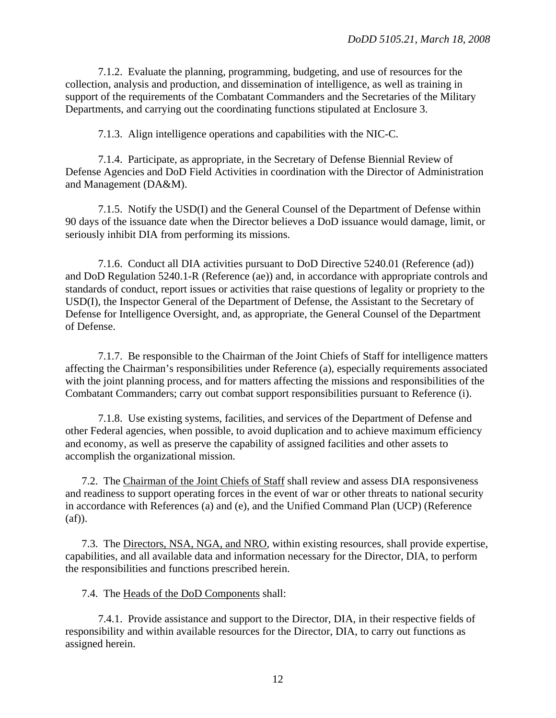7.1.2. Evaluate the planning, programming, budgeting, and use of resources for the collection, analysis and production, and dissemination of intelligence, as well as training in support of the requirements of the Combatant Commanders and the Secretaries of the Military Departments, and carrying out the coordinating functions stipulated at Enclosure 3.

7.1.3. Align intelligence operations and capabilities with the NIC-C.

 7.1.4. Participate, as appropriate, in the Secretary of Defense Biennial Review of Defense Agencies and DoD Field Activities in coordination with the Director of Administration and Management (DA&M).

 7.1.5. Notify the USD(I) and the General Counsel of the Department of Defense within 90 days of the issuance date when the Director believes a DoD issuance would damage, limit, or seriously inhibit DIA from performing its missions.

7.1.6. Conduct all DIA activities pursuant to DoD Directive 5240.01 (Reference (ad)) and DoD Regulation 5240.1-R (Reference (ae)) and, in accordance with appropriate controls and standards of conduct, report issues or activities that raise questions of legality or propriety to the USD(I), the Inspector General of the Department of Defense, the Assistant to the Secretary of Defense for Intelligence Oversight, and, as appropriate, the General Counsel of the Department of Defense.

7.1.7. Be responsible to the Chairman of the Joint Chiefs of Staff for intelligence matters affecting the Chairman's responsibilities under Reference (a), especially requirements associated with the joint planning process, and for matters affecting the missions and responsibilities of the Combatant Commanders; carry out combat support responsibilities pursuant to Reference (i).

7.1.8. Use existing systems, facilities, and services of the Department of Defense and other Federal agencies, when possible, to avoid duplication and to achieve maximum efficiency and economy, as well as preserve the capability of assigned facilities and other assets to accomplish the organizational mission.

 7.2. The Chairman of the Joint Chiefs of Staff shall review and assess DIA responsiveness and readiness to support operating forces in the event of war or other threats to national security in accordance with References (a) and (e), and the Unified Command Plan (UCP) (Reference  $(af)$ ).

 7.3. The Directors, NSA, NGA, and NRO, within existing resources, shall provide expertise, capabilities, and all available data and information necessary for the Director, DIA, to perform the responsibilities and functions prescribed herein.

7.4. The Heads of the DoD Components shall:

 7.4.1. Provide assistance and support to the Director, DIA, in their respective fields of responsibility and within available resources for the Director, DIA, to carry out functions as assigned herein.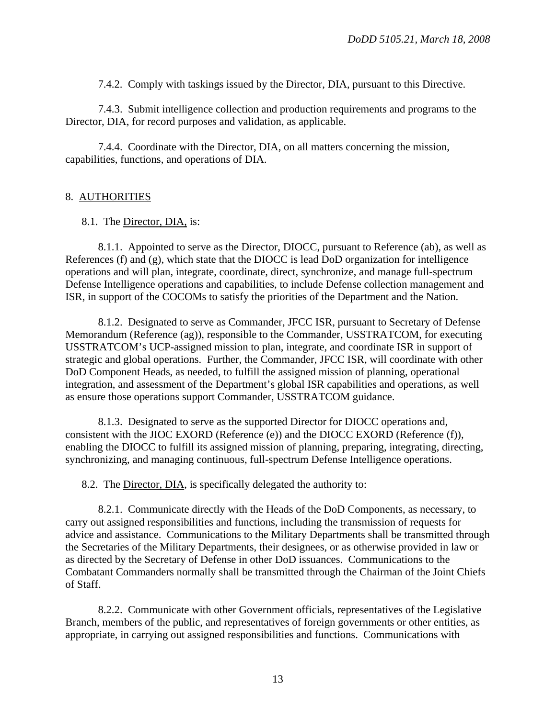7.4.2. Comply with taskings issued by the Director, DIA, pursuant to this Directive.

 7.4.3. Submit intelligence collection and production requirements and programs to the Director, DIA, for record purposes and validation, as applicable.

 7.4.4. Coordinate with the Director, DIA, on all matters concerning the mission, capabilities, functions, and operations of DIA.

## 8. AUTHORITIES

## 8.1. The Director, DIA, is:

 8.1.1. Appointed to serve as the Director, DIOCC, pursuant to Reference (ab), as well as References (f) and (g), which state that the DIOCC is lead DoD organization for intelligence operations and will plan, integrate, coordinate, direct, synchronize, and manage full-spectrum Defense Intelligence operations and capabilities, to include Defense collection management and ISR, in support of the COCOMs to satisfy the priorities of the Department and the Nation.

 8.1.2. Designated to serve as Commander, JFCC ISR, pursuant to Secretary of Defense Memorandum (Reference (ag)), responsible to the Commander, USSTRATCOM, for executing USSTRATCOM's UCP-assigned mission to plan, integrate, and coordinate ISR in support of strategic and global operations. Further, the Commander, JFCC ISR, will coordinate with other DoD Component Heads, as needed, to fulfill the assigned mission of planning, operational integration, and assessment of the Department's global ISR capabilities and operations, as well as ensure those operations support Commander, USSTRATCOM guidance.

 8.1.3. Designated to serve as the supported Director for DIOCC operations and, consistent with the JIOC EXORD (Reference (e)) and the DIOCC EXORD (Reference (f)), enabling the DIOCC to fulfill its assigned mission of planning, preparing, integrating, directing, synchronizing, and managing continuous, full-spectrum Defense Intelligence operations.

8.2. The Director, DIA, is specifically delegated the authority to:

 8.2.1. Communicate directly with the Heads of the DoD Components, as necessary, to carry out assigned responsibilities and functions, including the transmission of requests for advice and assistance. Communications to the Military Departments shall be transmitted through the Secretaries of the Military Departments, their designees, or as otherwise provided in law or as directed by the Secretary of Defense in other DoD issuances. Communications to the Combatant Commanders normally shall be transmitted through the Chairman of the Joint Chiefs of Staff.

 8.2.2. Communicate with other Government officials, representatives of the Legislative Branch, members of the public, and representatives of foreign governments or other entities, as appropriate, in carrying out assigned responsibilities and functions. Communications with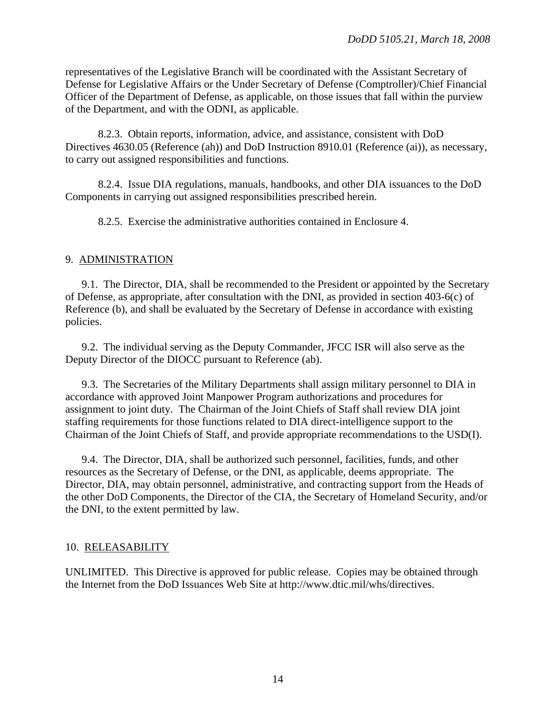representatives of the Legislative Branch will be coordinated with the Assistant Secretary of Defense for Legislative Affairs or the Under Secretary of Defense (Comptroller)/Chief Financial Officer of the Department of Defense, as applicable, on those issues that fall within the purview of the Department, and with the ODNI, as applicable.

 8.2.3. Obtain reports, information, advice, and assistance, consistent with DoD Directives 4630.05 (Reference (ah)) and DoD Instruction 8910.01 (Reference (ai)), as necessary, to carry out assigned responsibilities and functions.

8.2.4. Issue DIA regulations, manuals, handbooks, and other DIA issuances to the DoD Components in carrying out assigned responsibilities prescribed herein.

8.2.5. Exercise the administrative authorities contained in Enclosure 4.

#### 9. ADMINISTRATION

9.1. The Director, DIA, shall be recommended to the President or appointed by the Secretary of Defense, as appropriate, after consultation with the DNI, as provided in section 403-6(c) of Reference (b), and shall be evaluated by the Secretary of Defense in accordance with existing policies.

9.2. The individual serving as the Deputy Commander, JFCC ISR will also serve as the Deputy Director of the DIOCC pursuant to Reference (ab).

9.3. The Secretaries of the Military Departments shall assign military personnel to DIA in accordance with approved Joint Manpower Program authorizations and procedures for assignment to joint duty. The Chairman of the Joint Chiefs of Staff shall review DIA joint staffing requirements for those functions related to DIA direct-intelligence support to the Chairman of the Joint Chiefs of Staff, and provide appropriate recommendations to the USD(I).

9.4. The Director, DIA, shall be authorized such personnel, facilities, funds, and other resources as the Secretary of Defense, or the DNI, as applicable, deems appropriate. The Director, DIA, may obtain personnel, administrative, and contracting support from the Heads of the other DoD Components, the Director of the CIA, the Secretary of Homeland Security, and/or the DNI, to the extent permitted by law.

#### 10. RELEASABILITY

UNLIMITED. This Directive is approved for public release. Copies may be obtained through the Internet from the DoD Issuances Web Site at http://www.dtic.mil/whs/directives.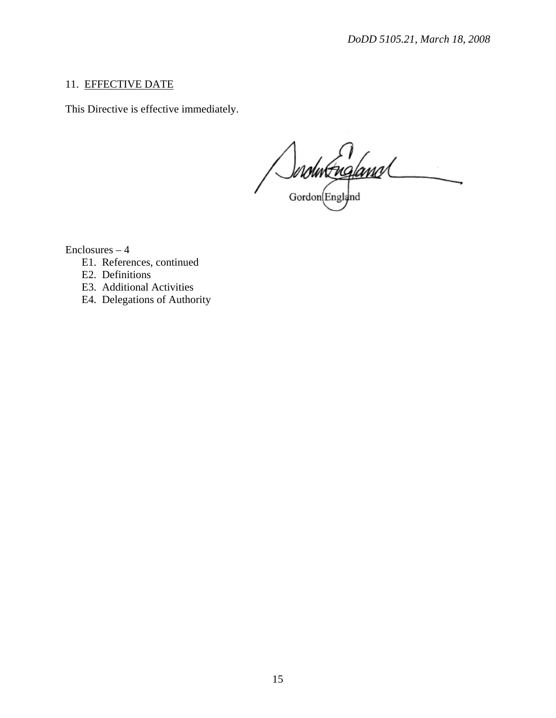# 11. EFFECTIVE DATE

This Directive is effective immediately.

Jordin England

Enclosures – 4

- E1. References, continued
- E2. Definitions
- E3. Additional Activities
- E4. Delegations of Authority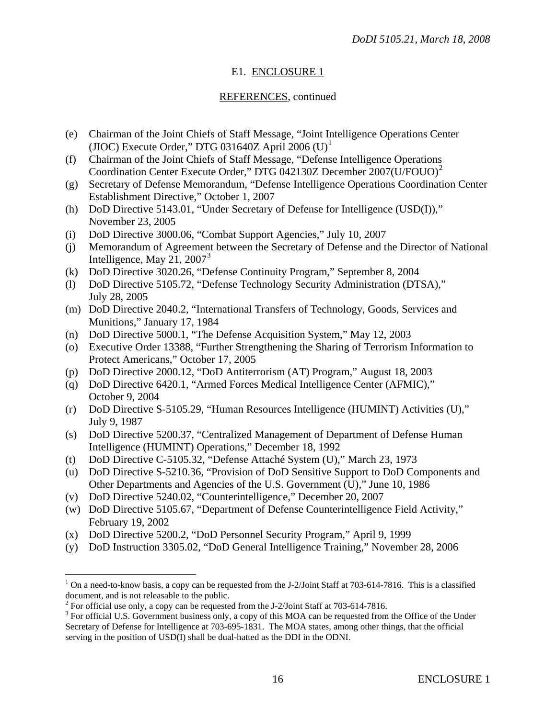# E1. ENCLOSURE 1

# REFERENCES, continued

- (e) Chairman of the Joint Chiefs of Staff Message, "Joint Intelligence Operations Center (JIOC) Execute Order," DTG 03[1](#page-15-0)640Z April 2006  $(U)^1$
- (f) Chairman of the Joint Chiefs of Staff Message, "Defense Intelligence Operations Coordination Center Execute Order," DTG 04[2](#page-15-1)130Z December 2007(U/FOUO)<sup>2</sup>
- (g) Secretary of Defense Memorandum, "Defense Intelligence Operations Coordination Center Establishment Directive," October 1, 2007
- (h) DoD Directive 5143.01, "Under Secretary of Defense for Intelligence (USD(I))," November 23, 2005
- (i) DoD Directive 3000.06, "Combat Support Agencies," July 10, 2007
- (j) Memorandum of Agreement between the Secretary of Defense and the Director of National Intelligence, May 21,  $2007<sup>3</sup>$  $2007<sup>3</sup>$  $2007<sup>3</sup>$
- (k) DoD Directive 3020.26, "Defense Continuity Program," September 8, 2004
- (l) DoD Directive 5105.72, "Defense Technology Security Administration (DTSA)," July 28, 2005
- (m) DoD Directive 2040.2, "International Transfers of Technology, Goods, Services and Munitions," January 17, 1984
- (n) DoD Directive 5000.1, "The Defense Acquisition System," May 12, 2003
- (o) Executive Order 13388, "Further Strengthening the Sharing of Terrorism Information to Protect Americans," October 17, 2005
- (p) DoD Directive 2000.12, "DoD Antiterrorism (AT) Program," August 18, 2003
- (q) DoD Directive 6420.1, "Armed Forces Medical Intelligence Center (AFMIC)," October 9, 2004
- (r) DoD Directive S-5105.29, "Human Resources Intelligence (HUMINT) Activities (U)," July 9, 1987
- (s) DoD Directive 5200.37, "Centralized Management of Department of Defense Human Intelligence (HUMINT) Operations," December 18, 1992
- (t) DoD Directive C-5105.32, "Defense Attaché System (U)," March 23, 1973
- (u) DoD Directive S-5210.36, "Provision of DoD Sensitive Support to DoD Components and Other Departments and Agencies of the U.S. Government (U)," June 10, 1986
- (v) DoD Directive 5240.02, "Counterintelligence," December 20, 2007
- (w) DoD Directive 5105.67, "Department of Defense Counterintelligence Field Activity," February 19, 2002
- (x) DoD Directive 5200.2, "DoD Personnel Security Program," April 9, 1999
- (y) DoD Instruction 3305.02, "DoD General Intelligence Training," November 28, 2006

 $\overline{a}$ 

<span id="page-15-0"></span><sup>&</sup>lt;sup>1</sup> On a need-to-know basis, a copy can be requested from the J-2/Joint Staff at 703-614-7816. This is a classified document, and is not releasable to the public.

<span id="page-15-1"></span><sup>&</sup>lt;sup>2</sup> For official use only, a copy can be requested from the J-2/Joint Staff at 703-614-7816.

<span id="page-15-2"></span> $3$  For official U.S. Government business only, a copy of this MOA can be requested from the Office of the Under Secretary of Defense for Intelligence at 703-695-1831. The MOA states, among other things, that the official serving in the position of USD(I) shall be dual-hatted as the DDI in the ODNI.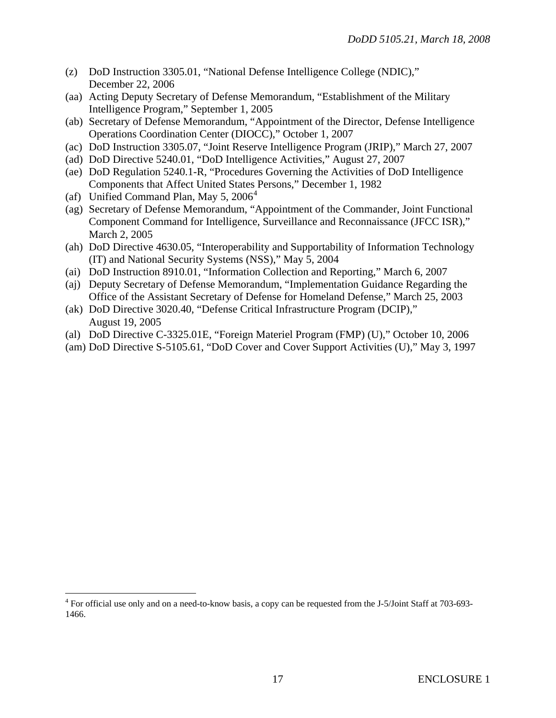- (z) DoD Instruction 3305.01, "National Defense Intelligence College (NDIC)," December 22, 2006
- (aa) Acting Deputy Secretary of Defense Memorandum, "Establishment of the Military Intelligence Program," September 1, 2005
- (ab) Secretary of Defense Memorandum, "Appointment of the Director, Defense Intelligence Operations Coordination Center (DIOCC)," October 1, 2007
- (ac) DoD Instruction 3305.07, "Joint Reserve Intelligence Program (JRIP)," March 27, 2007
- (ad) DoD Directive 5240.01, "DoD Intelligence Activities," August 27, 2007
- (ae) DoD Regulation 5240.1-R, "Procedures Governing the Activities of DoD Intelligence Components that Affect United States Persons," December 1, 1982
- (af) Unified Command Plan, May  $5, 2006<sup>4</sup>$  $5, 2006<sup>4</sup>$  $5, 2006<sup>4</sup>$

 $\overline{a}$ 

- (ag) Secretary of Defense Memorandum, "Appointment of the Commander, Joint Functional Component Command for Intelligence, Surveillance and Reconnaissance (JFCC ISR)," March 2, 2005
- (ah) DoD Directive 4630.05, "Interoperability and Supportability of Information Technology (IT) and National Security Systems (NSS)," May 5, 2004
- (ai) DoD Instruction 8910.01, "Information Collection and Reporting," March 6, 2007
- (aj) Deputy Secretary of Defense Memorandum, "Implementation Guidance Regarding the Office of the Assistant Secretary of Defense for Homeland Defense," March 25, 2003
- (ak) DoD Directive 3020.40, "Defense Critical Infrastructure Program (DCIP)," August 19, 2005
- (al) DoD Directive C-3325.01E, "Foreign Materiel Program (FMP) (U)," October 10, 2006
- (am) DoD Directive S-5105.61, "DoD Cover and Cover Support Activities (U)," May 3, 1997

<span id="page-16-0"></span><sup>&</sup>lt;sup>4</sup> For official use only and on a need-to-know basis, a copy can be requested from the J-5/Joint Staff at 703-693-1466.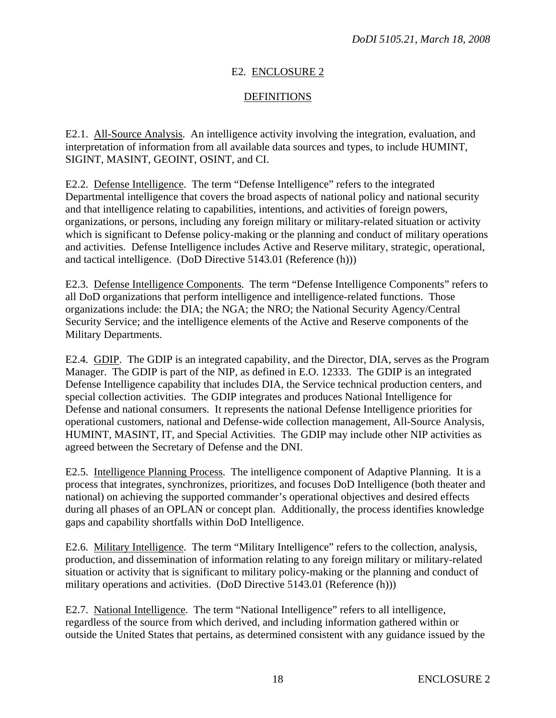# E2. ENCLOSURE 2

## DEFINITIONS

E2.1. All-Source Analysis. An intelligence activity involving the integration, evaluation, and interpretation of information from all available data sources and types, to include HUMINT, SIGINT, MASINT, GEOINT, OSINT, and CI.

E2.2. Defense Intelligence. The term "Defense Intelligence" refers to the integrated Departmental intelligence that covers the broad aspects of national policy and national security and that intelligence relating to capabilities, intentions, and activities of foreign powers, organizations, or persons, including any foreign military or military-related situation or activity which is significant to Defense policy-making or the planning and conduct of military operations and activities. Defense Intelligence includes Active and Reserve military, strategic, operational, and tactical intelligence. (DoD Directive 5143.01 (Reference (h)))

E2.3. Defense Intelligence Components. The term "Defense Intelligence Components" refers to all DoD organizations that perform intelligence and intelligence-related functions. Those organizations include: the DIA; the NGA; the NRO; the National Security Agency/Central Security Service; and the intelligence elements of the Active and Reserve components of the Military Departments.

E2.4. GDIP. The GDIP is an integrated capability, and the Director, DIA, serves as the Program Manager. The GDIP is part of the NIP, as defined in E.O. 12333. The GDIP is an integrated Defense Intelligence capability that includes DIA, the Service technical production centers, and special collection activities. The GDIP integrates and produces National Intelligence for Defense and national consumers. It represents the national Defense Intelligence priorities for operational customers, national and Defense-wide collection management, All-Source Analysis, HUMINT, MASINT, IT, and Special Activities. The GDIP may include other NIP activities as agreed between the Secretary of Defense and the DNI.

E2.5. Intelligence Planning Process. The intelligence component of Adaptive Planning. It is a process that integrates, synchronizes, prioritizes, and focuses DoD Intelligence (both theater and national) on achieving the supported commander's operational objectives and desired effects during all phases of an OPLAN or concept plan. Additionally, the process identifies knowledge gaps and capability shortfalls within DoD Intelligence.

E2.6. Military Intelligence. The term "Military Intelligence" refers to the collection, analysis, production, and dissemination of information relating to any foreign military or military-related situation or activity that is significant to military policy-making or the planning and conduct of military operations and activities. (DoD Directive 5143.01 (Reference (h)))

E2.7. National Intelligence. The term "National Intelligence" refers to all intelligence, regardless of the source from which derived, and including information gathered within or outside the United States that pertains, as determined consistent with any guidance issued by the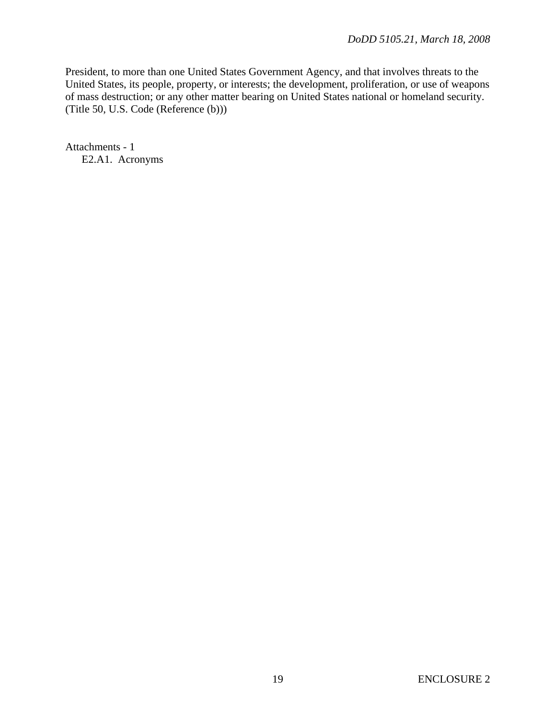President, to more than one United States Government Agency, and that involves threats to the United States, its people, property, or interests; the development, proliferation, or use of weapons of mass destruction; or any other matter bearing on United States national or homeland security. (Title 50, U.S. Code (Reference (b)))

Attachments - 1 E2.A1. Acronyms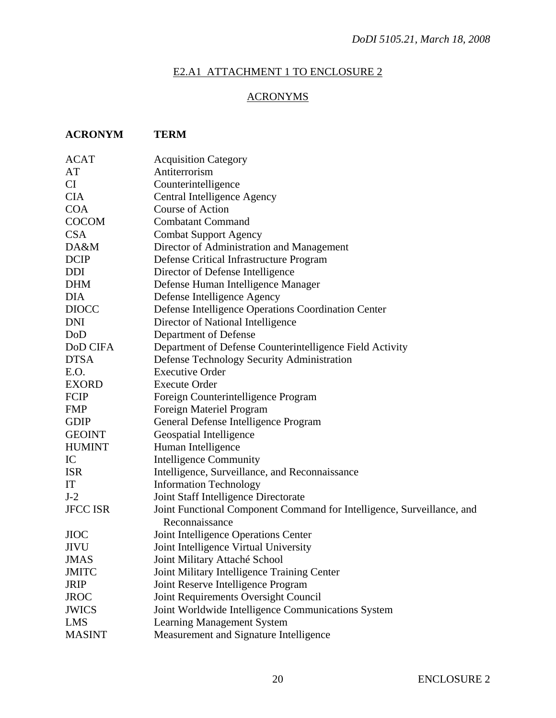# E2.A1 ATTACHMENT 1 TO ENCLOSURE 2

# ACRONYMS

# **ACRONYM TERM**

| <b>ACAT</b>     | <b>Acquisition Category</b>                                            |
|-----------------|------------------------------------------------------------------------|
| AT              | Antiterrorism                                                          |
| CI              | Counterintelligence                                                    |
| <b>CIA</b>      | Central Intelligence Agency                                            |
| <b>COA</b>      | Course of Action                                                       |
| <b>COCOM</b>    | <b>Combatant Command</b>                                               |
| <b>CSA</b>      | <b>Combat Support Agency</b>                                           |
| DA&M            | Director of Administration and Management                              |
| <b>DCIP</b>     | Defense Critical Infrastructure Program                                |
| DDI             | Director of Defense Intelligence                                       |
| <b>DHM</b>      | Defense Human Intelligence Manager                                     |
| <b>DIA</b>      | Defense Intelligence Agency                                            |
| <b>DIOCC</b>    | Defense Intelligence Operations Coordination Center                    |
| <b>DNI</b>      | Director of National Intelligence                                      |
| DoD             | Department of Defense                                                  |
| DoD CIFA        | Department of Defense Counterintelligence Field Activity               |
| <b>DTSA</b>     | Defense Technology Security Administration                             |
| E.O.            | <b>Executive Order</b>                                                 |
| <b>EXORD</b>    | <b>Execute Order</b>                                                   |
| <b>FCIP</b>     | Foreign Counterintelligence Program                                    |
| <b>FMP</b>      | Foreign Materiel Program                                               |
| <b>GDIP</b>     | General Defense Intelligence Program                                   |
| <b>GEOINT</b>   | Geospatial Intelligence                                                |
| <b>HUMINT</b>   | Human Intelligence                                                     |
| IC              | <b>Intelligence Community</b>                                          |
| <b>ISR</b>      | Intelligence, Surveillance, and Reconnaissance                         |
| IT              | <b>Information Technology</b>                                          |
| $J-2$           | Joint Staff Intelligence Directorate                                   |
| <b>JFCC ISR</b> | Joint Functional Component Command for Intelligence, Surveillance, and |
|                 | Reconnaissance                                                         |
| <b>JIOC</b>     | Joint Intelligence Operations Center                                   |
| <b>JIVU</b>     | Joint Intelligence Virtual University                                  |
| JMAS            | Joint Military Attaché School                                          |
| <b>JMITC</b>    | Joint Military Intelligence Training Center                            |
| <b>JRIP</b>     | Joint Reserve Intelligence Program                                     |
| <b>JROC</b>     | Joint Requirements Oversight Council                                   |
| <b>JWICS</b>    | Joint Worldwide Intelligence Communications System                     |
| LMS             | <b>Learning Management System</b>                                      |
| <b>MASINT</b>   | Measurement and Signature Intelligence                                 |
|                 |                                                                        |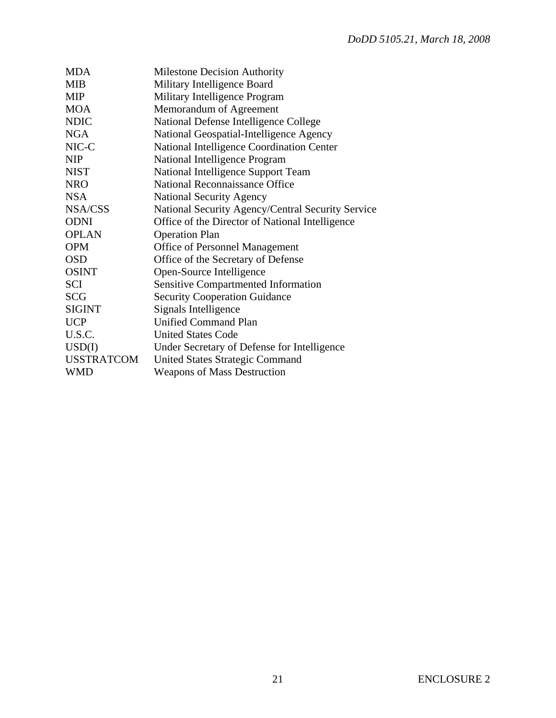| <b>Milestone Decision Authority</b>               |
|---------------------------------------------------|
| Military Intelligence Board                       |
| Military Intelligence Program                     |
| Memorandum of Agreement                           |
| National Defense Intelligence College             |
| National Geospatial-Intelligence Agency           |
| National Intelligence Coordination Center         |
| National Intelligence Program                     |
| National Intelligence Support Team                |
| National Reconnaissance Office                    |
| <b>National Security Agency</b>                   |
| National Security Agency/Central Security Service |
| Office of the Director of National Intelligence   |
| <b>Operation Plan</b>                             |
| <b>Office of Personnel Management</b>             |
| Office of the Secretary of Defense                |
| Open-Source Intelligence                          |
| <b>Sensitive Compartmented Information</b>        |
| <b>Security Cooperation Guidance</b>              |
| Signals Intelligence                              |
| <b>Unified Command Plan</b>                       |
| <b>United States Code</b>                         |
| Under Secretary of Defense for Intelligence       |
| <b>United States Strategic Command</b>            |
| <b>Weapons of Mass Destruction</b>                |
|                                                   |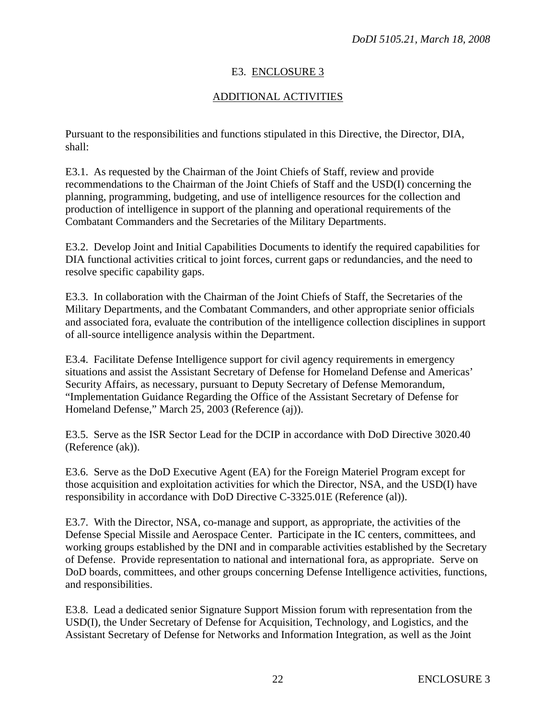# E3. ENCLOSURE 3

# ADDITIONAL ACTIVITIES

Pursuant to the responsibilities and functions stipulated in this Directive, the Director, DIA, shall:

E3.1. As requested by the Chairman of the Joint Chiefs of Staff, review and provide recommendations to the Chairman of the Joint Chiefs of Staff and the USD(I) concerning the planning, programming, budgeting, and use of intelligence resources for the collection and production of intelligence in support of the planning and operational requirements of the Combatant Commanders and the Secretaries of the Military Departments.

E3.2. Develop Joint and Initial Capabilities Documents to identify the required capabilities for DIA functional activities critical to joint forces, current gaps or redundancies, and the need to resolve specific capability gaps.

E3.3. In collaboration with the Chairman of the Joint Chiefs of Staff, the Secretaries of the Military Departments, and the Combatant Commanders, and other appropriate senior officials and associated fora, evaluate the contribution of the intelligence collection disciplines in support of all-source intelligence analysis within the Department.

E3.4. Facilitate Defense Intelligence support for civil agency requirements in emergency situations and assist the Assistant Secretary of Defense for Homeland Defense and Americas' Security Affairs, as necessary, pursuant to Deputy Secretary of Defense Memorandum, "Implementation Guidance Regarding the Office of the Assistant Secretary of Defense for Homeland Defense," March 25, 2003 (Reference (aj)).

E3.5. Serve as the ISR Sector Lead for the DCIP in accordance with DoD Directive 3020.40 (Reference (ak)).

E3.6. Serve as the DoD Executive Agent (EA) for the Foreign Materiel Program except for those acquisition and exploitation activities for which the Director, NSA, and the USD(I) have responsibility in accordance with DoD Directive C-3325.01E (Reference (al)).

E3.7. With the Director, NSA, co-manage and support, as appropriate, the activities of the Defense Special Missile and Aerospace Center. Participate in the IC centers, committees, and working groups established by the DNI and in comparable activities established by the Secretary of Defense. Provide representation to national and international fora, as appropriate. Serve on DoD boards, committees, and other groups concerning Defense Intelligence activities, functions, and responsibilities.

E3.8. Lead a dedicated senior Signature Support Mission forum with representation from the USD(I), the Under Secretary of Defense for Acquisition, Technology, and Logistics, and the Assistant Secretary of Defense for Networks and Information Integration, as well as the Joint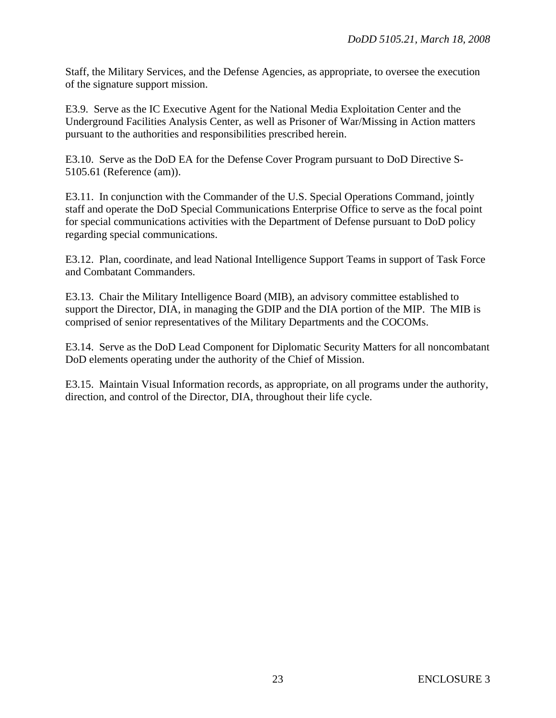Staff, the Military Services, and the Defense Agencies, as appropriate, to oversee the execution of the signature support mission.

E3.9. Serve as the IC Executive Agent for the National Media Exploitation Center and the Underground Facilities Analysis Center, as well as Prisoner of War/Missing in Action matters pursuant to the authorities and responsibilities prescribed herein.

E3.10. Serve as the DoD EA for the Defense Cover Program pursuant to DoD Directive S-5105.61 (Reference (am)).

E3.11. In conjunction with the Commander of the U.S. Special Operations Command, jointly staff and operate the DoD Special Communications Enterprise Office to serve as the focal point for special communications activities with the Department of Defense pursuant to DoD policy regarding special communications.

E3.12. Plan, coordinate, and lead National Intelligence Support Teams in support of Task Force and Combatant Commanders.

E3.13. Chair the Military Intelligence Board (MIB), an advisory committee established to support the Director, DIA, in managing the GDIP and the DIA portion of the MIP. The MIB is comprised of senior representatives of the Military Departments and the COCOMs.

E3.14. Serve as the DoD Lead Component for Diplomatic Security Matters for all noncombatant DoD elements operating under the authority of the Chief of Mission.

E3.15. Maintain Visual Information records, as appropriate, on all programs under the authority, direction, and control of the Director, DIA, throughout their life cycle.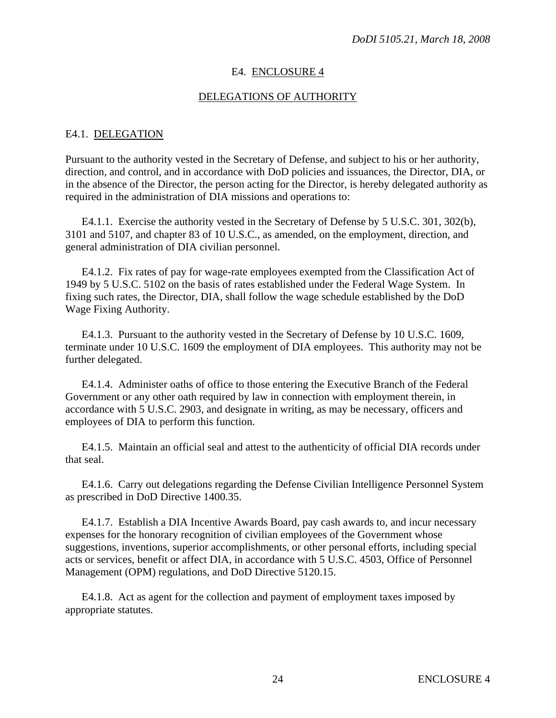## E4. ENCLOSURE 4

## DELEGATIONS OF AUTHORITY

## E4.1. DELEGATION

Pursuant to the authority vested in the Secretary of Defense, and subject to his or her authority, direction, and control, and in accordance with DoD policies and issuances, the Director, DIA, or in the absence of the Director, the person acting for the Director, is hereby delegated authority as required in the administration of DIA missions and operations to:

E4.1.1. Exercise the authority vested in the Secretary of Defense by 5 U.S.C. 301, 302(b), 3101 and 5107, and chapter 83 of 10 U.S.C., as amended, on the employment, direction, and general administration of DIA civilian personnel.

E4.1.2. Fix rates of pay for wage-rate employees exempted from the Classification Act of 1949 by 5 U.S.C. 5102 on the basis of rates established under the Federal Wage System. In fixing such rates, the Director, DIA, shall follow the wage schedule established by the DoD Wage Fixing Authority.

E4.1.3. Pursuant to the authority vested in the Secretary of Defense by 10 U.S.C. 1609, terminate under 10 U.S.C. 1609 the employment of DIA employees. This authority may not be further delegated.

E4.1.4. Administer oaths of office to those entering the Executive Branch of the Federal Government or any other oath required by law in connection with employment therein, in accordance with 5 U.S.C. 2903, and designate in writing, as may be necessary, officers and employees of DIA to perform this function.

E4.1.5. Maintain an official seal and attest to the authenticity of official DIA records under that seal.

E4.1.6. Carry out delegations regarding the Defense Civilian Intelligence Personnel System as prescribed in DoD Directive 1400.35.

E4.1.7. Establish a DIA Incentive Awards Board, pay cash awards to, and incur necessary expenses for the honorary recognition of civilian employees of the Government whose suggestions, inventions, superior accomplishments, or other personal efforts, including special acts or services, benefit or affect DIA, in accordance with 5 U.S.C. 4503, Office of Personnel Management (OPM) regulations, and DoD Directive 5120.15.

E4.1.8. Act as agent for the collection and payment of employment taxes imposed by appropriate statutes.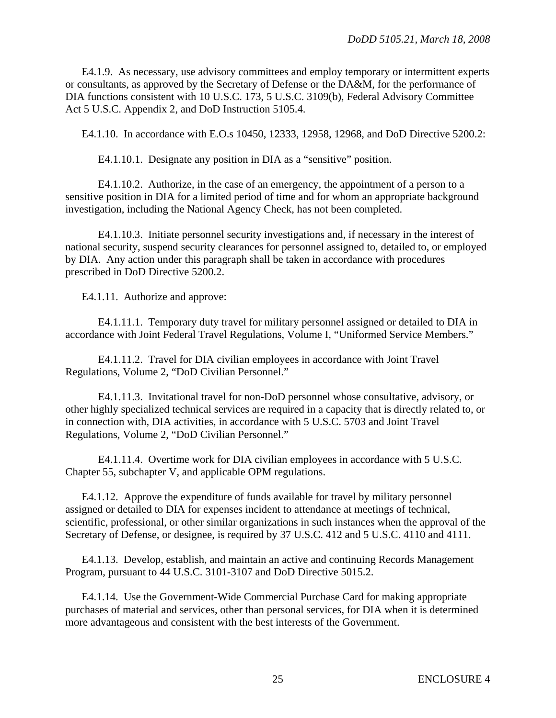E4.1.9. As necessary, use advisory committees and employ temporary or intermittent experts or consultants, as approved by the Secretary of Defense or the DA&M, for the performance of DIA functions consistent with 10 U.S.C. 173, 5 U.S.C. 3109(b), Federal Advisory Committee Act 5 U.S.C. Appendix 2, and DoD Instruction 5105.4.

E4.1.10. In accordance with E.O.s 10450, 12333, 12958, 12968, and DoD Directive 5200.2:

E4.1.10.1. Designate any position in DIA as a "sensitive" position.

E4.1.10.2. Authorize, in the case of an emergency, the appointment of a person to a sensitive position in DIA for a limited period of time and for whom an appropriate background investigation, including the National Agency Check, has not been completed.

E4.1.10.3. Initiate personnel security investigations and, if necessary in the interest of national security, suspend security clearances for personnel assigned to, detailed to, or employed by DIA. Any action under this paragraph shall be taken in accordance with procedures prescribed in DoD Directive 5200.2.

E4.1.11. Authorize and approve:

E4.1.11.1. Temporary duty travel for military personnel assigned or detailed to DIA in accordance with Joint Federal Travel Regulations, Volume I, "Uniformed Service Members."

E4.1.11.2. Travel for DIA civilian employees in accordance with Joint Travel Regulations, Volume 2, "DoD Civilian Personnel."

E4.1.11.3. Invitational travel for non-DoD personnel whose consultative, advisory, or other highly specialized technical services are required in a capacity that is directly related to, or in connection with, DIA activities, in accordance with 5 U.S.C. 5703 and Joint Travel Regulations, Volume 2, "DoD Civilian Personnel."

E4.1.11.4. Overtime work for DIA civilian employees in accordance with 5 U.S.C. Chapter 55, subchapter V, and applicable OPM regulations.

E4.1.12. Approve the expenditure of funds available for travel by military personnel assigned or detailed to DIA for expenses incident to attendance at meetings of technical, scientific, professional, or other similar organizations in such instances when the approval of the Secretary of Defense, or designee, is required by 37 U.S.C. 412 and 5 U.S.C. 4110 and 4111.

E4.1.13. Develop, establish, and maintain an active and continuing Records Management Program, pursuant to 44 U.S.C. 3101-3107 and DoD Directive 5015.2.

E4.1.14. Use the Government-Wide Commercial Purchase Card for making appropriate purchases of material and services, other than personal services, for DIA when it is determined more advantageous and consistent with the best interests of the Government.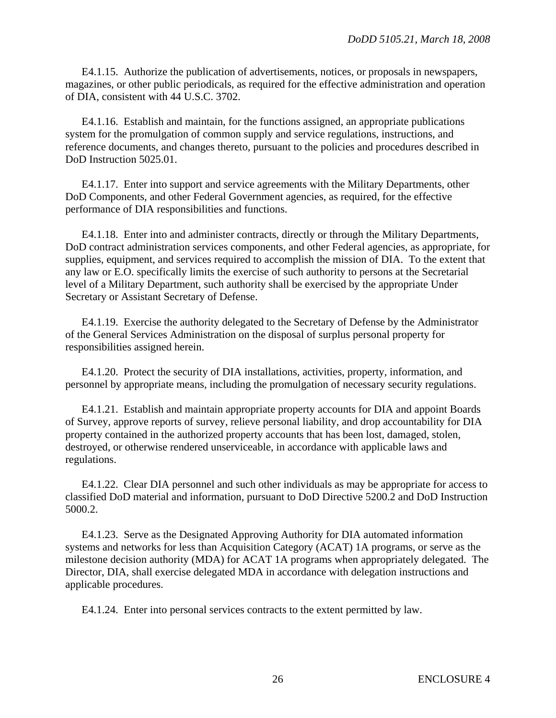E4.1.15. Authorize the publication of advertisements, notices, or proposals in newspapers, magazines, or other public periodicals, as required for the effective administration and operation of DIA, consistent with 44 U.S.C. 3702.

E4.1.16. Establish and maintain, for the functions assigned, an appropriate publications system for the promulgation of common supply and service regulations, instructions, and reference documents, and changes thereto, pursuant to the policies and procedures described in DoD Instruction 5025.01.

E4.1.17. Enter into support and service agreements with the Military Departments, other DoD Components, and other Federal Government agencies, as required, for the effective performance of DIA responsibilities and functions.

E4.1.18. Enter into and administer contracts, directly or through the Military Departments, DoD contract administration services components, and other Federal agencies, as appropriate, for supplies, equipment, and services required to accomplish the mission of DIA. To the extent that any law or E.O. specifically limits the exercise of such authority to persons at the Secretarial level of a Military Department, such authority shall be exercised by the appropriate Under Secretary or Assistant Secretary of Defense.

E4.1.19. Exercise the authority delegated to the Secretary of Defense by the Administrator of the General Services Administration on the disposal of surplus personal property for responsibilities assigned herein.

E4.1.20. Protect the security of DIA installations, activities, property, information, and personnel by appropriate means, including the promulgation of necessary security regulations.

E4.1.21. Establish and maintain appropriate property accounts for DIA and appoint Boards of Survey, approve reports of survey, relieve personal liability, and drop accountability for DIA property contained in the authorized property accounts that has been lost, damaged, stolen, destroyed, or otherwise rendered unserviceable, in accordance with applicable laws and regulations.

E4.1.22. Clear DIA personnel and such other individuals as may be appropriate for access to classified DoD material and information, pursuant to DoD Directive 5200.2 and DoD Instruction 5000.2.

E4.1.23. Serve as the Designated Approving Authority for DIA automated information systems and networks for less than Acquisition Category (ACAT) 1A programs, or serve as the milestone decision authority (MDA) for ACAT 1A programs when appropriately delegated. The Director, DIA, shall exercise delegated MDA in accordance with delegation instructions and applicable procedures.

E4.1.24. Enter into personal services contracts to the extent permitted by law.